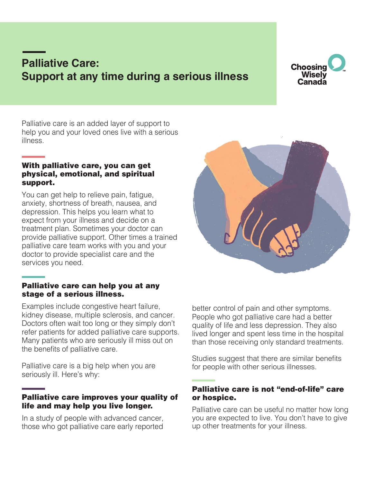# **Palliative Care: Support at any time during a serious illness**



Palliative care is an added layer of support to help you and your loved ones live with a serious illness.

#### With palliative care, you can get physical, emotional, and spiritual support.

You can get help to relieve pain, fatigue, anxiety, shortness of breath, nausea, and depression. This helps you learn what to expect from your illness and decide on a treatment plan. Sometimes your doctor can provide palliative support. Other times a trained palliative care team works with you and your doctor to provide specialist care and the services you need.

#### Palliative care can help you at any stage of a serious illness.

Examples include congestive heart failure, kidney disease, multiple sclerosis, and cancer. Doctors often wait too long or they simply don't refer patients for added palliative care supports. Many patients who are seriously ill miss out on the benefits of palliative care.

Palliative care is a big help when you are seriously ill. Here's why:

## Palliative care improves your quality of life and may help you live longer.

In a study of people with advanced cancer, those who got palliative care early reported better control of pain and other symptoms. People who got palliative care had a better quality of life and less depression. They also lived longer and spent less time in the hospital than those receiving only standard treatments.

Studies suggest that there are similar benefits for people with other serious illnesses.

### Palliative care is not "end-of-life" care or hospice.

Palliative care can be useful no matter how long you are expected to live. You don't have to give up other treatments for your illness.